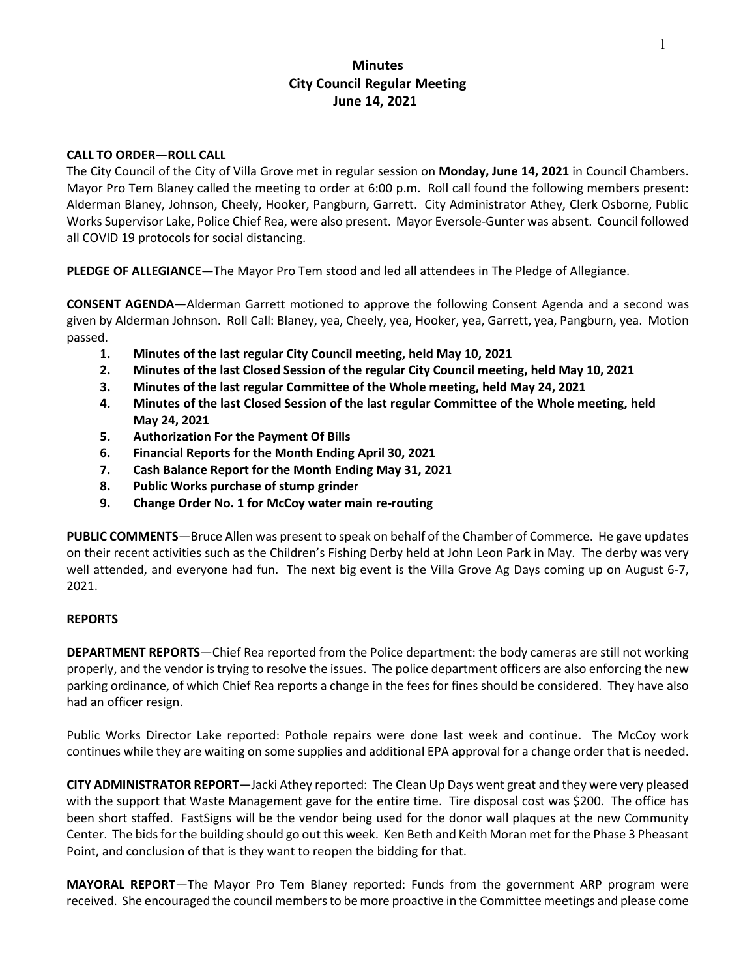# **Minutes City Council Regular Meeting June 14, 2021**

### **CALL TO ORDER—ROLL CALL**

The City Council of the City of Villa Grove met in regular session on **Monday, June 14, 2021** in Council Chambers. Mayor Pro Tem Blaney called the meeting to order at 6:00 p.m. Roll call found the following members present: Alderman Blaney, Johnson, Cheely, Hooker, Pangburn, Garrett. City Administrator Athey, Clerk Osborne, Public Works Supervisor Lake, Police Chief Rea, were also present. Mayor Eversole-Gunter was absent. Council followed all COVID 19 protocols for social distancing.

**PLEDGE OF ALLEGIANCE—**The Mayor Pro Tem stood and led all attendees in The Pledge of Allegiance.

**CONSENT AGENDA—**Alderman Garrett motioned to approve the following Consent Agenda and a second was given by Alderman Johnson. Roll Call: Blaney, yea, Cheely, yea, Hooker, yea, Garrett, yea, Pangburn, yea. Motion passed.

- **1. Minutes of the last regular City Council meeting, held May 10, 2021**
- **2. Minutes of the last Closed Session of the regular City Council meeting, held May 10, 2021**
- **3. Minutes of the last regular Committee of the Whole meeting, held May 24, 2021**
- **4. Minutes of the last Closed Session of the last regular Committee of the Whole meeting, held May 24, 2021**
- **5. Authorization For the Payment Of [Bills](https://drive.google.com/file/d/1-guXTEf5AdEHfb7D1nBtQJO4pdp6OEuW/view?usp=sharing)**
- **6. Financial Reports for the Month Endin[g April 30,](https://drive.google.com/file/d/12VF-5fGTf25_jaaR3ytCaKZEyQeLpE0V/view?usp=sharing) 2021**
- **7. Cash Balance Report for the Month Endin[g May 31,](https://drive.google.com/file/d/1sCj_QHPcAwKCOLLySUoGW2tBD3nCDncK/view?usp=sharinghttps://drive.google.com/file/d/1sCj_QHPcAwKCOLLySUoGW2tBD3nCDncK/view?usp=sharinghttps://drive.google.com/file/d/1sCj_QHPcAwKCOLLySUoGW2tBD3nCDncK/view?usp=sharing) 2021**
- **8. Public Works purchase of [stump grinder](https://drive.google.com/file/d/1GCPhmxxIgxVyFoc8Dz4_9uQ1Go4lbmG9/view?usp=sharing)**
- **9. [Change Order No. 1](https://drive.google.com/file/d/19rY-zbc-VYjf3y4MPMPaHNqdyvhfTXPC/view?usp=sharing) for McCoy water main re-routing**

**PUBLIC COMMENTS**—Bruce Allen was present to speak on behalf of the Chamber of Commerce. He gave updates on their recent activities such as the Children's Fishing Derby held at John Leon Park in May. The derby was very well attended, and everyone had fun. The next big event is the Villa Grove Ag Days coming up on August 6-7, 2021.

#### **REPORTS**

**DEPARTMENT REPORTS**—Chief Rea reported from the Police department: the body cameras are still not working properly, and the vendor is trying to resolve the issues. The police department officers are also enforcing the new parking ordinance, of which Chief Rea reports a change in the fees for fines should be considered. They have also had an officer resign.

Public Works Director Lake reported: Pothole repairs were done last week and continue. The McCoy work continues while they are waiting on some supplies and additional EPA approval for a change order that is needed.

**CITY ADMINISTRATOR REPORT**—Jacki Athey reported: The Clean Up Days went great and they were very pleased with the support that Waste Management gave for the entire time. Tire disposal cost was \$200. The office has been short staffed. FastSigns will be the vendor being used for the donor wall plaques at the new Community Center. The bids for the building should go out this week. Ken Beth and Keith Moran met for the Phase 3 Pheasant Point, and conclusion of that is they want to reopen the bidding for that.

**MAYORAL REPORT**—The Mayor Pro Tem Blaney reported: Funds from the government ARP program were received. She encouraged the council members to be more proactive in the Committee meetings and please come